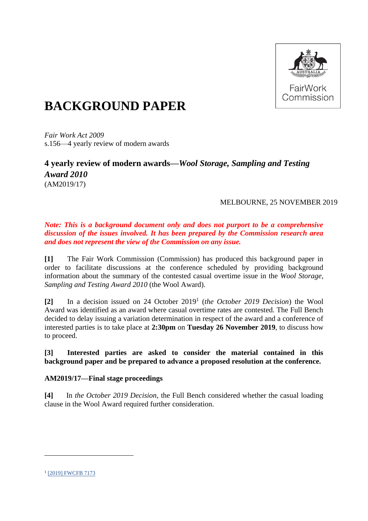

# **BACKGROUND PAPER**

*Fair Work Act 2009*  s.156—4 yearly review of modern awards

### **4 yearly review of modern awards—***Wool Storage, Sampling and Testing Award 2010* (AM2019/17)

#### MELBOURNE, 25 NOVEMBER 2019

#### *Note: This is a background document only and does not purport to be a comprehensive discussion of the issues involved. It has been prepared by the Commission research area and does not represent the view of the Commission on any issue.*

**[1]** The Fair Work Commission (Commission) has produced this background paper in order to facilitate discussions at the conference scheduled by providing background information about the summary of the contested casual overtime issue in the *Wool Storage, Sampling and Testing Award 2010* (the Wool Award).

**[2]** In a decision issued on 24 October 2019<sup>1</sup> (*the October 2019 Decision*) the Wool Award was identified as an award where casual overtime rates are contested. The Full Bench decided to delay issuing a variation determination in respect of the award and a conference of interested parties is to take place at **2:30pm** on **Tuesday 26 November 2019**, to discuss how to proceed.

#### **[3] Interested parties are asked to consider the material contained in this background paper and be prepared to advance a proposed resolution at the conference.**

#### **AM2019/17—Final stage proceedings**

**[4]** In *the October 2019 Decision*, the Full Bench considered whether the casual loading clause in the Wool Award required further consideration.

<sup>&</sup>lt;sup>1</sup> [\[2019\] FWCFB 7173](https://www.fwc.gov.au/documents/decisionssigned/html/2019fwcfb7173.htm)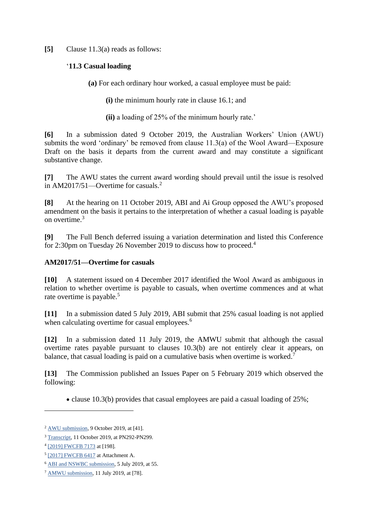**[5]** Clause 11.3(a) reads as follows:

#### '**11.3 Casual loading**

**(a)** For each ordinary hour worked, a casual employee must be paid:

**(i)** the minimum hourly rate in clause 16.1; and

**(ii)** a loading of 25% of the minimum hourly rate.'

**[6]** In a submission dated 9 October 2019, the Australian Workers' Union (AWU) submits the word 'ordinary' be removed from clause 11.3(a) of the Wool Award—Exposure Draft on the basis it departs from the current award and may constitute a significant substantive change.

**[7]** The AWU states the current award wording should prevail until the issue is resolved in AM2017/51—Overtime for casuals.<sup>2</sup>

**[8]** At the hearing on 11 October 2019, ABI and Ai Group opposed the AWU's proposed amendment on the basis it pertains to the interpretation of whether a casual loading is payable on overtime.<sup>3</sup>

**[9]** The Full Bench deferred issuing a variation determination and listed this Conference for 2:30pm on Tuesday 26 November 2019 to discuss how to proceed. 4

#### **AM2017/51—Overtime for casuals**

**[10]** A statement issued on 4 December 2017 identified the Wool Award as ambiguous in relation to whether overtime is payable to casuals, when overtime commences and at what rate overtime is payable.<sup>5</sup>

**[11]** In a submission dated 5 July 2019, ABI submit that 25% casual loading is not applied when calculating overtime for casual employees.<sup>6</sup>

**[12]** In a submission dated 11 July 2019, the AMWU submit that although the casual overtime rates payable pursuant to clauses 10.3(b) are not entirely clear it appears, on balance, that casual loading is paid on a cumulative basis when overtime is worked.<sup>7</sup>

**[13]** The Commission published an Issues Paper on 5 February 2019 which observed the following:

• clause 10.3(b) provides that casual employees are paid a casual loading of  $25\%$ ;

<sup>2</sup> [AWU submission,](https://www.fwc.gov.au/documents/sites/awardsmodernfouryr/am201464andors-sub-awu-091019.pdf) 9 October 2019, at [41].

<sup>3</sup> [Transcript,](https://www.fwc.gov.au/documents/sites/awardsmodernfouryr/20191011_am201917.htm) 11 October 2019, at PN292-PN299.

<sup>&</sup>lt;sup>4</sup> [\[2019\] FWCFB 7173](https://www.fwc.gov.au/documents/decisionssigned/html/2019fwcfb7173.htm) at [198].

<sup>&</sup>lt;sup>5</sup> [\[2017\] FWCFB 6417](https://www.fwc.gov.au/documents/decisionssigned/html/2017fwcfb6417.htm) at Attachment A.

<sup>6</sup> [ABI and NSWBC submission,](https://www.fwc.gov.au/documents/sites/awardsmodernfouryr/am201741-sub-reply-abinswbc-050719.pdf) 5 July 2019, at 55.

<sup>7</sup> [AMWU submission,](https://www.fwc.gov.au/documents/sites/awardsmodernfouryr/am201751-sub-awu-110719.pdf) 11 July 2019, at [78].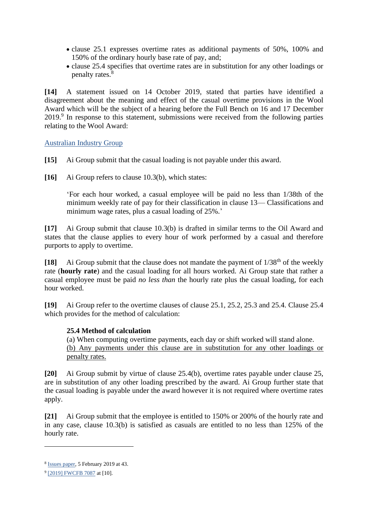- clause 25.1 expresses overtime rates as additional payments of 50%, 100% and 150% of the ordinary hourly base rate of pay, and;
- clause 25.4 specifies that overtime rates are in substitution for any other loadings or penalty rates.<sup>8</sup>

**[14]** A statement issued on 14 October 2019, stated that parties have identified a disagreement about the meaning and effect of the casual overtime provisions in the Wool Award which will be the subject of a hearing before the Full Bench on 16 and 17 December 2019.<sup>9</sup> In response to this statement, submissions were received from the following parties relating to the Wool Award:

[Australian Industry Group](https://www.fwc.gov.au/documents/sites/awardsmodernfouryr/am201751-sub-aig-111119.pdf)

- **[15]** Ai Group submit that the casual loading is not payable under this award.
- **[16]** Ai Group refers to clause 10.3(b), which states:

'For each hour worked, a casual employee will be paid no less than 1/38th of the minimum weekly rate of pay for their classification in clause 13— Classifications and minimum wage rates, plus a casual loading of 25%.'

**[17]** Ai Group submit that clause 10.3(b) is drafted in similar terms to the Oil Award and states that the clause applies to every hour of work performed by a casual and therefore purports to apply to overtime.

[18] Ai Group submit that the clause does not mandate the payment of 1/38<sup>th</sup> of the weekly rate (**hourly rate**) and the casual loading for all hours worked. Ai Group state that rather a casual employee must be paid *no less than* the hourly rate plus the casual loading, for each hour worked.

**[19]** Ai Group refer to the overtime clauses of clause 25.1, 25.2, 25.3 and 25.4. Clause 25.4 which provides for the method of calculation:

#### **25.4 Method of calculation**

(a) When computing overtime payments, each day or shift worked will stand alone. (b) Any payments under this clause are in substitution for any other loadings or penalty rates.

**[20]** Ai Group submit by virtue of clause 25.4(b), overtime rates payable under clause 25, are in substitution of any other loading prescribed by the award. Ai Group further state that the casual loading is payable under the award however it is not required where overtime rates apply.

**[21]** Ai Group submit that the employee is entitled to 150% or 200% of the hourly rate and in any case, clause 10.3(b) is satisfied as casuals are entitled to no less than 125% of the hourly rate.

<sup>&</sup>lt;sup>8</sup> Issues [paper,](https://www.fwc.gov.au/documents/sites/awardsmodernfouryr/am201751-issues-paper-050219-.pdf) 5 February 2019 at 43.

<sup>&</sup>lt;sup>9</sup> [\[2019\] FWCFB 7087](https://www.fwc.gov.au/documents/decisionssigned/html/2019fwc7087.htm) at [10].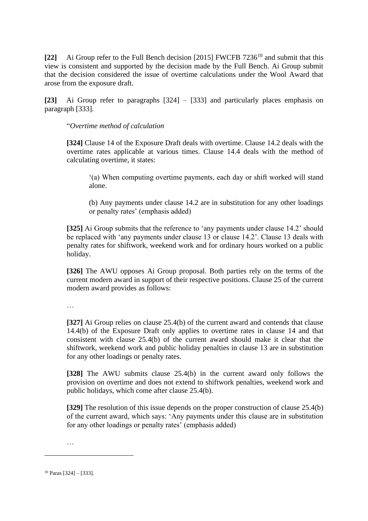[22] Ai Group refer to the Full Bench decision [2015] FWCFB 7236<sup>10</sup> and submit that this view is consistent and supported by the decision made by the Full Bench. Ai Group submit that the decision considered the issue of overtime calculations under the Wool Award that arose from the exposure draft.

**[23]** Ai Group refer to paragraphs [324] – [333] and particularly places emphasis on paragraph [333].

"*Overtime method of calculation*

**[324]** Clause 14 of the Exposure Draft deals with overtime. Clause 14.2 deals with the overtime rates applicable at various times. Clause 14.4 deals with the method of calculating overtime, it states:

'(a) When computing overtime payments, each day or shift worked will stand alone.

(b) Any payments under clause 14.2 are in substitution for any other loadings or penalty rates' (emphasis added)

**[325]** Ai Group submits that the reference to 'any payments under clause 14.2' should be replaced with 'any payments under clause 13 or clause 14.2'. Clause 13 deals with penalty rates for shiftwork, weekend work and for ordinary hours worked on a public holiday.

**[326]** The AWU opposes Ai Group proposal. Both parties rely on the terms of the current modern award in support of their respective positions. Clause 25 of the current modern award provides as follows:

…

**[327]** Ai Group relies on clause 25.4(b) of the current award and contends that clause 14.4(b) of the Exposure Draft only applies to overtime rates in clause 14 and that consistent with clause 25.4(b) of the current award should make it clear that the shiftwork, weekend work and public holiday penalties in clause 13 are in substitution for any other loadings or penalty rates.

**[328]** The AWU submits clause 25.4(b) in the current award only follows the provision on overtime and does not extend to shiftwork penalties, weekend work and public holidays, which come after clause 25.4(b).

**[329]** The resolution of this issue depends on the proper construction of clause 25.4(b) of the current award, which says: 'Any payments under this clause are in substitution for any other loadings or penalty rates' (emphasis added)

…

<sup>10</sup> Paras [324] – [333].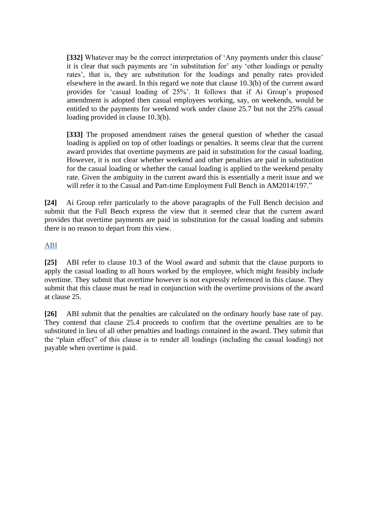**[332]** Whatever may be the correct interpretation of 'Any payments under this clause' it is clear that such payments are 'in substitution for' any 'other loadings or penalty rates', that is, they are substitution for the loadings and penalty rates provided elsewhere in the award. In this regard we note that clause 10.3(b) of the current award provides for 'casual loading of 25%'. It follows that if Ai Group's proposed amendment is adopted then casual employees working, say, on weekends, would be entitled to the payments for weekend work under clause 25.7 but not the 25% casual loading provided in clause 10.3(b).

**[333]** The proposed amendment raises the general question of whether the casual loading is applied on top of other loadings or penalties. It seems clear that the current award provides that overtime payments are paid in substitution for the casual loading. However, it is not clear whether weekend and other penalties are paid in substitution for the casual loading or whether the casual loading is applied to the weekend penalty rate. Given the ambiguity in the current award this is essentially a merit issue and we will refer it to the Casual and Part-time Employment Full Bench in AM2014/197."

**[24]** Ai Group refer particularly to the above paragraphs of the Full Bench decision and submit that the Full Bench express the view that it seemed clear that the current award provides that overtime payments are paid in substitution for the casual loading and submits there is no reason to depart from this view.

#### [ABI](https://www.fwc.gov.au/documents/sites/awardsmodernfouryr/am201751-sub-abinswbc-121119.pdf)

**[25]** ABI refer to clause 10.3 of the Wool award and submit that the clause purports to apply the casual loading to all hours worked by the employee, which might feasibly include overtime. They submit that overtime however is not expressly referenced in this clause. They submit that this clause must be read in conjunction with the overtime provisions of the award at clause 25.

**[26]** ABI submit that the penalties are calculated on the ordinary hourly base rate of pay. They contend that clause 25.4 proceeds to confirm that the overtime penalties are to be substituted in lieu of all other penalties and loadings contained in the award. They submit that the "plain effect" of this clause is to render all loadings (including the casual loading) not payable when overtime is paid.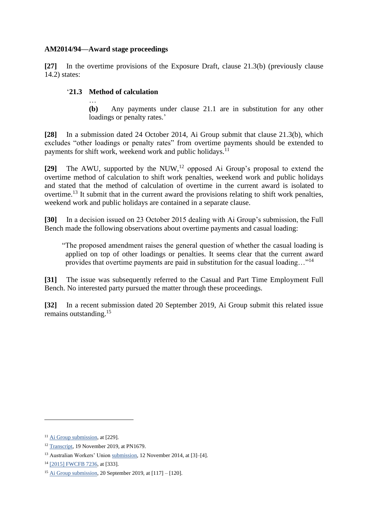#### **AM2014/94—Award stage proceedings**

**[27]** In the overtime provisions of the Exposure Draft, clause 21.3(b) (previously clause 14.2) states:

#### '**21.3 Method of calculation**

…

**(b)** Any payments under clause 21.1 are in substitution for any other loadings or penalty rates.'

**[28]** In a submission dated 24 October 2014, Ai Group submit that clause 21.3(b), which excludes "other loadings or penalty rates" from overtime payments should be extended to payments for shift work, weekend work and public holidays.<sup>11</sup>

[29] The AWU, supported by the NUW,<sup>12</sup> opposed Ai Group's proposal to extend the overtime method of calculation to shift work penalties, weekend work and public holidays and stated that the method of calculation of overtime in the current award is isolated to overtime.<sup>13</sup> It submit that in the current award the provisions relating to shift work penalties, weekend work and public holidays are contained in a separate clause.

**[30]** In a decision issued on 23 October 2015 dealing with Ai Group's submission, the Full Bench made the following observations about overtime payments and casual loading:

"The proposed amendment raises the general question of whether the casual loading is applied on top of other loadings or penalties. It seems clear that the current award provides that overtime payments are paid in substitution for the casual loading…"<sup>14</sup>

**[31]** The issue was subsequently referred to the Casual and Part Time Employment Full Bench. No interested party pursued the matter through these proceedings.

**[32]** In a recent submission dated 20 September 2019, Ai Group submit this related issue remains outstanding.<sup>15</sup>

<sup>&</sup>lt;sup>11</sup> [Ai Group submission,](https://www.fwc.gov.au/documents/sites/awardsmodernfouryr/am201467andors-sub-aig-241014.pdf) at [229].

<sup>12</sup> [Transcript,](https://www.fwc.gov.au/documents/sites/awardsmodernfouryr/191114am201491andors.pdf) 19 November 2019, at PN1679.

<sup>13</sup> Australian Workers' Union [submission,](https://www.fwc.gov.au/documents/sites/awardsmodernfouryr/am201494-replysub-awu-121114.pdf) 12 November 2014, at [3]–[4].

<sup>14</sup> [\[2015\] FWCFB 7236,](https://www.fwc.gov.au/documents/decisionssigned/html/2015fwcfb7236.htm#P1492_145634) at [333].

<sup>15</sup> [Ai Group submission,](https://www.fwc.gov.au/documents/sites/awardsmodernfouryr/am201479andors-sub-aigroup-200919.pdf) 20 September 2019, at [117] – [120].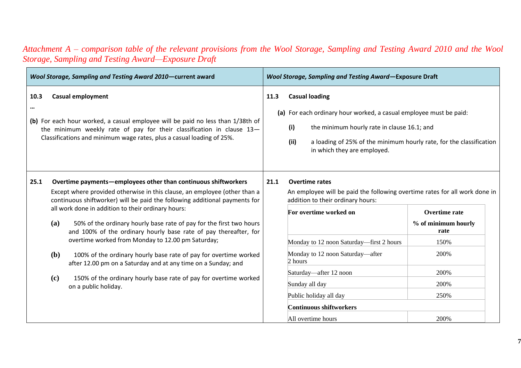| Wool Storage, Sampling and Testing Award 2010-current award                                                                                                                                                                                                                                                                                                                                                                               |      | Wool Storage, Sampling and Testing Award-Exposure Draft                                                                                                                                                                                                         |                              |  |  |
|-------------------------------------------------------------------------------------------------------------------------------------------------------------------------------------------------------------------------------------------------------------------------------------------------------------------------------------------------------------------------------------------------------------------------------------------|------|-----------------------------------------------------------------------------------------------------------------------------------------------------------------------------------------------------------------------------------------------------------------|------------------------------|--|--|
| 10.3<br><b>Casual employment</b><br><br>(b) For each hour worked, a casual employee will be paid no less than 1/38th of<br>the minimum weekly rate of pay for their classification in clause 13-<br>Classifications and minimum wage rates, plus a casual loading of 25%.                                                                                                                                                                 | 11.3 | <b>Casual loading</b><br>(a) For each ordinary hour worked, a casual employee must be paid:<br>(i)<br>the minimum hourly rate in clause 16.1; and<br>(ii)<br>a loading of 25% of the minimum hourly rate, for the classification<br>in which they are employed. |                              |  |  |
| 25.1<br>Overtime payments—employees other than continuous shiftworkers<br>Except where provided otherwise in this clause, an employee (other than a<br>continuous shiftworker) will be paid the following additional payments for<br>all work done in addition to their ordinary hours:<br>(a)<br>50% of the ordinary hourly base rate of pay for the first two hours<br>and 100% of the ordinary hourly base rate of pay thereafter, for | 21.1 | <b>Overtime rates</b><br>An employee will be paid the following overtime rates for all work done in<br>addition to their ordinary hours:<br>For overtime worked on<br>Overtime rate<br>% of minimum hourly<br>rate                                              |                              |  |  |
| overtime worked from Monday to 12.00 pm Saturday;<br>(b)<br>100% of the ordinary hourly base rate of pay for overtime worked<br>after 12.00 pm on a Saturday and at any time on a Sunday; and<br>(c)<br>150% of the ordinary hourly base rate of pay for overtime worked<br>on a public holiday.                                                                                                                                          |      | Monday to 12 noon Saturday—first 2 hours<br>Monday to 12 noon Saturday-after<br>$\alpha$ hours<br>Saturday-after 12 noon<br>Sunday all day                                                                                                                      | 150%<br>200%<br>200%<br>200% |  |  |
|                                                                                                                                                                                                                                                                                                                                                                                                                                           |      | Public holiday all day<br>Continuous shiftworkers<br>All overtime hours                                                                                                                                                                                         | 250%<br>200%                 |  |  |

## *Attachment A – comparison table of the relevant provisions from the Wool Storage, Sampling and Testing Award 2010 and the Wool Storage, Sampling and Testing Award—Exposure Draft*